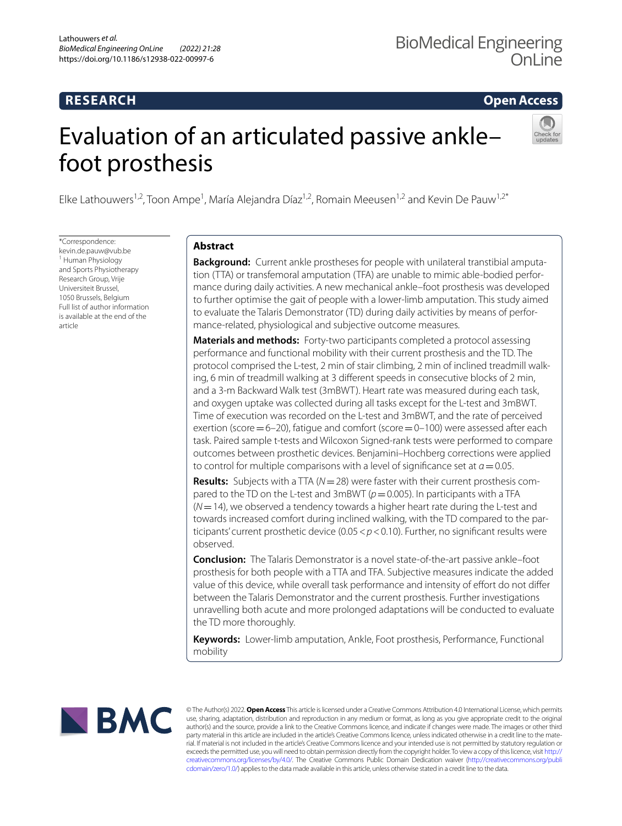# **RESEARCH**

**Open Access**

# Evaluation of an articulated passive ankle– foot prosthesis



Elke Lathouwers<sup>1,2</sup>, Toon Ampe<sup>1</sup>, María Alejandra Díaz<sup>1,2</sup>, Romain Meeusen<sup>1,2</sup> and Kevin De Pauw<sup>1,2\*</sup>

\*Correspondence: kevin.de.pauw@vub.be <sup>1</sup> Human Physiology and Sports Physiotherapy Research Group, Vrije Universiteit Brussel, 1050 Brussels, Belgium Full list of author information is available at the end of the article

# **Abstract**

**Background:** Current ankle prostheses for people with unilateral transtibial amputation (TTA) or transfemoral amputation (TFA) are unable to mimic able-bodied performance during daily activities. A new mechanical ankle–foot prosthesis was developed to further optimise the gait of people with a lower-limb amputation. This study aimed to evaluate the Talaris Demonstrator (TD) during daily activities by means of performance-related, physiological and subjective outcome measures.

**Materials and methods:** Forty-two participants completed a protocol assessing performance and functional mobility with their current prosthesis and the TD. The protocol comprised the L-test, 2 min of stair climbing, 2 min of inclined treadmill walking, 6 min of treadmill walking at 3 diferent speeds in consecutive blocks of 2 min, and a 3-m Backward Walk test (3mBWT). Heart rate was measured during each task, and oxygen uptake was collected during all tasks except for the L-test and 3mBWT. Time of execution was recorded on the L-test and 3mBWT, and the rate of perceived exertion (score  $=6-20$ ), fatigue and comfort (score  $=0-100$ ) were assessed after each task. Paired sample t-tests and Wilcoxon Signed-rank tests were performed to compare outcomes between prosthetic devices. Benjamini–Hochberg corrections were applied to control for multiple comparisons with a level of significance set at  $a = 0.05$ .

**Results:** Subjects with a TTA (*N*=28) were faster with their current prosthesis compared to the TD on the L-test and 3mBWT ( $p=0.005$ ). In participants with a TFA (*N*=14), we observed a tendency towards a higher heart rate during the L-test and towards increased comfort during inclined walking, with the TD compared to the participants' current prosthetic device (0.05<*p*<0.10). Further, no signifcant results were observed.

**Conclusion:** The Talaris Demonstrator is a novel state-of-the-art passive ankle–foot prosthesis for both people with a TTA and TFA. Subjective measures indicate the added value of this device, while overall task performance and intensity of effort do not differ between the Talaris Demonstrator and the current prosthesis. Further investigations unravelling both acute and more prolonged adaptations will be conducted to evaluate the TD more thoroughly.

**Keywords:** Lower-limb amputation, Ankle, Foot prosthesis, Performance, Functional mobility



© The Author(s) 2022. **Open Access** This article is licensed under a Creative Commons Attribution 4.0 International License, which permits use, sharing, adaptation, distribution and reproduction in any medium or format, as long as you give appropriate credit to the original author(s) and the source, provide a link to the Creative Commons licence, and indicate if changes were made. The images or other third party material in this article are included in the article's Creative Commons licence, unless indicated otherwise in a credit line to the material. If material is not included in the article's Creative Commons licence and your intended use is not permitted by statutory regulation or exceeds the permitted use, you will need to obtain permission directly from the copyright holder. To view a copy of this licence, visit [http://](http://creativecommons.org/licenses/by/4.0/) [creativecommons.org/licenses/by/4.0/.](http://creativecommons.org/licenses/by/4.0/) The Creative Commons Public Domain Dedication waiver [\(http://creativecommons.org/publi](http://creativecommons.org/publicdomain/zero/1.0/) [cdomain/zero/1.0/\)](http://creativecommons.org/publicdomain/zero/1.0/) applies to the data made available in this article, unless otherwise stated in a credit line to the data.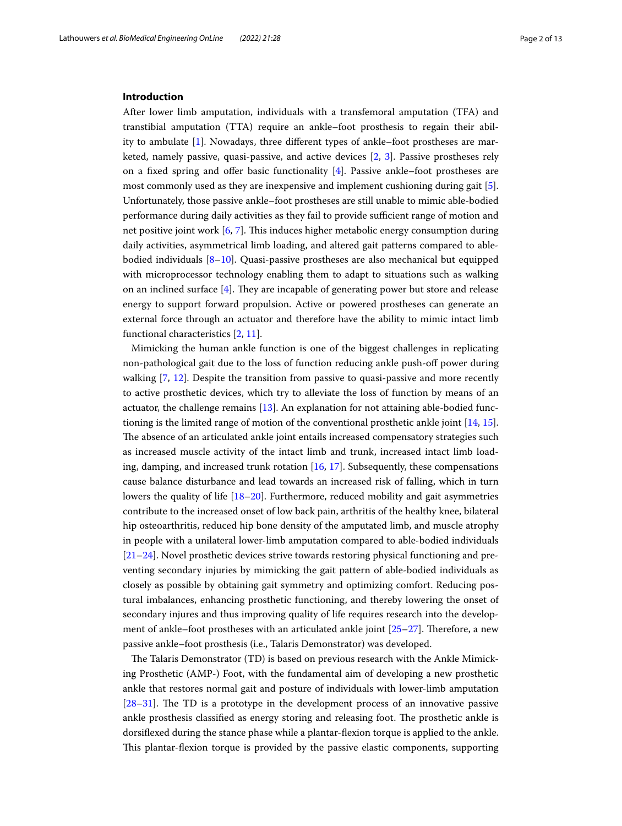# **Introduction**

After lower limb amputation, individuals with a transfemoral amputation (TFA) and transtibial amputation (TTA) require an ankle–foot prosthesis to regain their ability to ambulate [\[1](#page-11-0)]. Nowadays, three diferent types of ankle–foot prostheses are marketed, namely passive, quasi-passive, and active devices [[2,](#page-11-1) [3](#page-11-2)]. Passive prostheses rely on a fixed spring and offer basic functionality  $[4]$  $[4]$ . Passive ankle–foot prostheses are most commonly used as they are inexpensive and implement cushioning during gait [\[5](#page-11-4)]. Unfortunately, those passive ankle–foot prostheses are still unable to mimic able-bodied performance during daily activities as they fail to provide sufficient range of motion and net positive joint work  $[6, 7]$  $[6, 7]$  $[6, 7]$  $[6, 7]$ . This induces higher metabolic energy consumption during daily activities, asymmetrical limb loading, and altered gait patterns compared to ablebodied individuals [[8–](#page-11-7)[10](#page-11-8)]. Quasi-passive prostheses are also mechanical but equipped with microprocessor technology enabling them to adapt to situations such as walking on an inclined surface  $[4]$  $[4]$ . They are incapable of generating power but store and release energy to support forward propulsion. Active or powered prostheses can generate an external force through an actuator and therefore have the ability to mimic intact limb functional characteristics [\[2](#page-11-1), [11\]](#page-11-9).

Mimicking the human ankle function is one of the biggest challenges in replicating non-pathological gait due to the loss of function reducing ankle push-of power during walking [[7,](#page-11-6) [12\]](#page-11-10). Despite the transition from passive to quasi-passive and more recently to active prosthetic devices, which try to alleviate the loss of function by means of an actuator, the challenge remains [\[13](#page-11-11)]. An explanation for not attaining able-bodied functioning is the limited range of motion of the conventional prosthetic ankle joint [[14,](#page-11-12) [15](#page-11-13)]. The absence of an articulated ankle joint entails increased compensatory strategies such as increased muscle activity of the intact limb and trunk, increased intact limb loading, damping, and increased trunk rotation [[16](#page-11-14), [17](#page-11-15)]. Subsequently, these compensations cause balance disturbance and lead towards an increased risk of falling, which in turn lowers the quality of life [\[18](#page-11-16)–[20\]](#page-11-17). Furthermore, reduced mobility and gait asymmetries contribute to the increased onset of low back pain, arthritis of the healthy knee, bilateral hip osteoarthritis, reduced hip bone density of the amputated limb, and muscle atrophy in people with a unilateral lower-limb amputation compared to able-bodied individuals [[21–](#page-11-18)[24](#page-12-0)]. Novel prosthetic devices strive towards restoring physical functioning and preventing secondary injuries by mimicking the gait pattern of able-bodied individuals as closely as possible by obtaining gait symmetry and optimizing comfort. Reducing postural imbalances, enhancing prosthetic functioning, and thereby lowering the onset of secondary injures and thus improving quality of life requires research into the development of ankle–foot prostheses with an articulated ankle joint  $[25-27]$  $[25-27]$ . Therefore, a new passive ankle–foot prosthesis (i.e., Talaris Demonstrator) was developed.

The Talaris Demonstrator (TD) is based on previous research with the Ankle Mimicking Prosthetic (AMP-) Foot, with the fundamental aim of developing a new prosthetic ankle that restores normal gait and posture of individuals with lower-limb amputation  $[28-31]$  $[28-31]$  $[28-31]$ . The TD is a prototype in the development process of an innovative passive ankle prosthesis classified as energy storing and releasing foot. The prosthetic ankle is dorsifexed during the stance phase while a plantar-fexion torque is applied to the ankle. This plantar-flexion torque is provided by the passive elastic components, supporting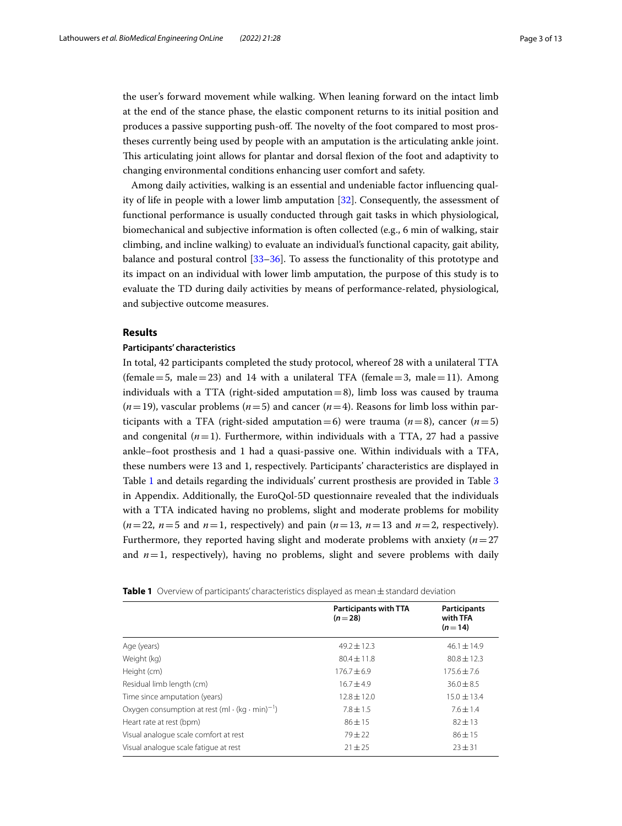the user's forward movement while walking. When leaning forward on the intact limb at the end of the stance phase, the elastic component returns to its initial position and produces a passive supporting push-off. The novelty of the foot compared to most prostheses currently being used by people with an amputation is the articulating ankle joint. Tis articulating joint allows for plantar and dorsal fexion of the foot and adaptivity to changing environmental conditions enhancing user comfort and safety.

Among daily activities, walking is an essential and undeniable factor infuencing quality of life in people with a lower limb amputation [\[32](#page-12-5)]. Consequently, the assessment of functional performance is usually conducted through gait tasks in which physiological, biomechanical and subjective information is often collected (e.g., 6 min of walking, stair climbing, and incline walking) to evaluate an individual's functional capacity, gait ability, balance and postural control [[33–](#page-12-6)[36](#page-12-7)]. To assess the functionality of this prototype and its impact on an individual with lower limb amputation, the purpose of this study is to evaluate the TD during daily activities by means of performance-related, physiological, and subjective outcome measures.

# **Results**

# **Participants' characteristics**

In total, 42 participants completed the study protocol, whereof 28 with a unilateral TTA (female = 5, male = 23) and 14 with a unilateral TFA (female = 3, male = 11). Among individuals with a TTA (right-sided amputation=8), limb loss was caused by trauma  $(n=19)$ , vascular problems  $(n=5)$  and cancer  $(n=4)$ . Reasons for limb loss within participants with a TFA (right-sided amputation=6) were trauma  $(n=8)$ , cancer  $(n=5)$ and congenital  $(n=1)$ . Furthermore, within individuals with a TTA, 27 had a passive ankle–foot prosthesis and 1 had a quasi-passive one. Within individuals with a TFA, these numbers were 13 and 1, respectively. Participants' characteristics are displayed in Table [1](#page-2-0) and details regarding the individuals' current prosthesis are provided in Table [3](#page-9-0) in Appendix. Additionally, the EuroQol-5D questionnaire revealed that the individuals with a TTA indicated having no problems, slight and moderate problems for mobility  $(n=22, n=5 \text{ and } n=1, \text{ respectively})$  and pain  $(n=13, n=13 \text{ and } n=2, \text{ respectively}).$ Furthermore, they reported having slight and moderate problems with anxiety (*n*=27 and  $n=1$ , respectively), having no problems, slight and severe problems with daily

<span id="page-2-0"></span>

| Table 1 Overview of participants' characteristics displayed as mean ± standard deviation |  |
|------------------------------------------------------------------------------------------|--|
|------------------------------------------------------------------------------------------|--|

|                                                                         | <b>Participants with TTA</b><br>$(n=28)$ | <b>Participants</b><br>with TFA<br>$(n=14)$ |
|-------------------------------------------------------------------------|------------------------------------------|---------------------------------------------|
| Age (years)                                                             | $49.2 + 12.3$                            | $46.1 \pm 14.9$                             |
| Weight (kg)                                                             | $80.4 + 11.8$                            | $80.8 + 12.3$                               |
| Height (cm)                                                             | $176.7 + 6.9$                            | $175.6 + 7.6$                               |
| Residual limb length (cm)                                               | $16.7 + 4.9$                             | $36.0 \pm 8.5$                              |
| Time since amputation (years)                                           | $12.8 \pm 12.0$                          | $15.0 \pm 13.4$                             |
| Oxygen consumption at rest (ml $\cdot$ (kg $\cdot$ min) <sup>-1</sup> ) | $7.8 \pm 1.5$                            | $7.6 \pm 1.4$                               |
| Heart rate at rest (bpm)                                                | $86 \pm 15$                              | $82 \pm 13$                                 |
| Visual analogue scale comfort at rest                                   | $79 + 22$                                | $86 + 15$                                   |
| Visual analogue scale fatigue at rest                                   | $21 \pm 25$                              | $23 + 31$                                   |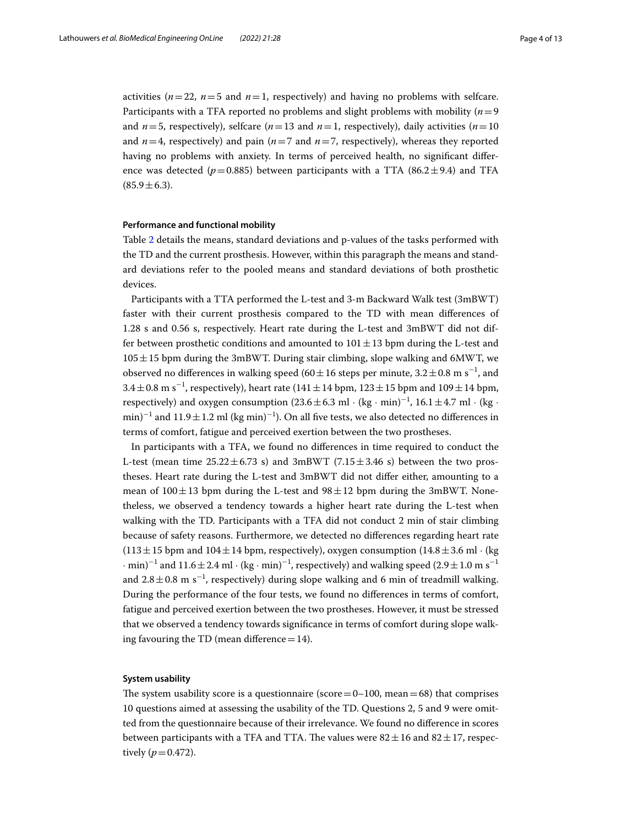activities ( $n=22$ ,  $n=5$  and  $n=1$ , respectively) and having no problems with selfcare. Participants with a TFA reported no problems and slight problems with mobility (*n*=9 and  $n=5$ , respectively), selfcare ( $n=13$  and  $n=1$ , respectively), daily activities ( $n=10$ ) and  $n=4$ , respectively) and pain ( $n=7$  and  $n=7$ , respectively), whereas they reported having no problems with anxiety. In terms of perceived health, no signifcant diference was detected ( $p=0.885$ ) between participants with a TTA (86.2 $\pm$ 9.4) and TFA  $(85.9 \pm 6.3).$ 

# **Performance and functional mobility**

Table [2](#page-4-0) details the means, standard deviations and p-values of the tasks performed with the TD and the current prosthesis. However, within this paragraph the means and standard deviations refer to the pooled means and standard deviations of both prosthetic devices.

Participants with a TTA performed the L-test and 3-m Backward Walk test (3mBWT) faster with their current prosthesis compared to the TD with mean diferences of 1.28 s and 0.56 s, respectively. Heart rate during the L-test and 3mBWT did not differ between prosthetic conditions and amounted to  $101 \pm 13$  bpm during the L-test and 105±15 bpm during the 3mBWT. During stair climbing, slope walking and 6MWT, we observed no differences in walking speed (60 $\pm$ 16 steps per minute, 3.2 $\pm$ 0.8 m s<sup>-1</sup>, and  $3.4 \pm 0.8$  m s<sup>-1</sup>, respectively), heart rate (141 $\pm$ 14 bpm, 123 $\pm$ 15 bpm and 109 $\pm$ 14 bpm, respectively) and oxygen consumption (23.6  $\pm$  6.3 ml · (kg · min)<sup>-1</sup>, 16.1  $\pm$  4.7 ml · (kg · min)<sup>-1</sup> and  $11.9 \pm 1.2$  ml (kg min)<sup>-1</sup>). On all five tests, we also detected no differences in terms of comfort, fatigue and perceived exertion between the two prostheses.

In participants with a TFA, we found no diferences in time required to conduct the L-test (mean time  $25.22 \pm 6.73$  s) and 3mBWT (7.15 $\pm$ 3.46 s) between the two prostheses. Heart rate during the L-test and 3mBWT did not difer either, amounting to a mean of  $100 \pm 13$  bpm during the L-test and  $98 \pm 12$  bpm during the 3mBWT. Nonetheless, we observed a tendency towards a higher heart rate during the L-test when walking with the TD. Participants with a TFA did not conduct 2 min of stair climbing because of safety reasons. Furthermore, we detected no diferences regarding heart rate  $(113 \pm 15$  bpm and  $104 \pm 14$  bpm, respectively), oxygen consumption  $(14.8 \pm 3.6 \text{ ml} \cdot \text{(kg}$  $\cdot$  min)<sup>-1</sup> and 11.6  $\pm$  2.4 ml  $\cdot$  (kg  $\cdot$  min)<sup>-1</sup>, respectively) and walking speed (2.9  $\pm$  1.0 m s<sup>-1</sup> and  $2.8 \pm 0.8$  m s<sup>-1</sup>, respectively) during slope walking and 6 min of treadmill walking. During the performance of the four tests, we found no diferences in terms of comfort, fatigue and perceived exertion between the two prostheses. However, it must be stressed that we observed a tendency towards signifcance in terms of comfort during slope walking favouring the TD (mean difference  $=14$ ).

# **System usability**

The system usability score is a questionnaire (score= $0-100$ , mean=68) that comprises 10 questions aimed at assessing the usability of the TD. Questions 2, 5 and 9 were omitted from the questionnaire because of their irrelevance. We found no diference in scores between participants with a TFA and TTA. The values were  $82 \pm 16$  and  $82 \pm 17$ , respectively ( $p = 0.472$ ).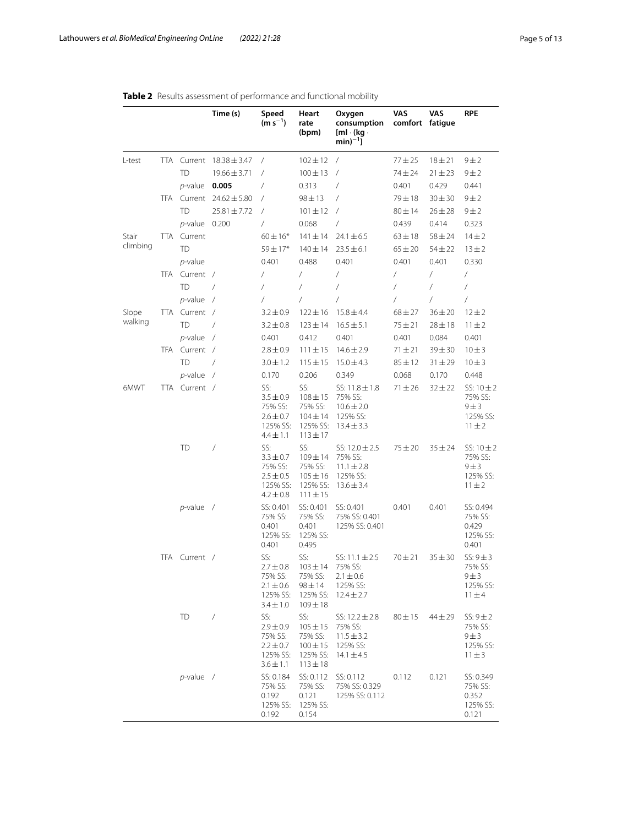|          |     |                 | Time (s)         | Speed<br>$(m s^{-1})$                                                         | Heart<br>rate<br>(bpm)                                                     | Oxygen<br>consumption<br>$[m] \cdot (kg \cdot$<br>$min)^{-1}$ ]               | VAS<br>comfort fatigue | VAS         | RPE                                                          |
|----------|-----|-----------------|------------------|-------------------------------------------------------------------------------|----------------------------------------------------------------------------|-------------------------------------------------------------------------------|------------------------|-------------|--------------------------------------------------------------|
| L-test   |     | TTA Current     | $18.38 \pm 3.47$ | $\prime$                                                                      | $102 \pm 12$                                                               | $\prime$                                                                      | $77 + 25$              | $18 + 21$   | 9±2                                                          |
|          |     | <b>TD</b>       | $19.66 \pm 3.71$ | $\prime$                                                                      | $100 \pm 13$                                                               | $\prime$                                                                      | $74 + 24$              | $21 \pm 23$ | 9±2                                                          |
|          |     | $p$ -value      | 0.005            | $\prime$                                                                      | 0.313                                                                      | 7                                                                             | 0.401                  | 0.429       | 0.441                                                        |
|          | TFA | Current         | $24.62 \pm 5.80$ | $\overline{1}$                                                                | $98 + 13$                                                                  | $\sqrt{2}$                                                                    | $79 + 18$              | $30 + 30$   | $9 \pm 2$                                                    |
|          |     | <b>TD</b>       | $25.81 \pm 7.72$ | $\prime$                                                                      | $101 \pm 12$                                                               | $\sqrt{2}$                                                                    | $80 + 14$              | $26 \pm 28$ | $9 \pm 2$                                                    |
|          |     | <i>p</i> -value | 0.200            | $\sqrt{2}$                                                                    | 0.068                                                                      | $\sqrt{2}$                                                                    | 0.439                  | 0.414       | 0.323                                                        |
| Stair    |     | TTA Current     |                  | $60 \pm 16*$                                                                  | $141 \pm 14$                                                               | $24.1 \pm 6.5$                                                                | $63 \pm 18$            | $58 + 24$   | $14 + 2$                                                     |
| climbing |     | <b>TD</b>       |                  | $59 \pm 17*$                                                                  | $140 \pm 14$                                                               | $23.5 \pm 6.1$                                                                | $65 \pm 20$            | $54 \pm 22$ | $13 + 2$                                                     |
|          |     | p-value         |                  | 0.401                                                                         | 0.488                                                                      | 0.401                                                                         | 0.401                  | 0.401       | 0.330                                                        |
|          | TFA | Current /       |                  | $\sqrt{2}$                                                                    | $\sqrt{2}$                                                                 | $\sqrt{2}$                                                                    | $\sqrt{2}$             | $\sqrt{2}$  | /                                                            |
|          |     | <b>TD</b>       | $\sqrt{2}$       | $\sqrt{2}$                                                                    | $\sqrt{2}$                                                                 | $\sqrt{2}$                                                                    | $\sqrt{2}$             | $\sqrt{2}$  | /                                                            |
|          |     | $p$ -value      | $\sqrt{2}$       | $\prime$                                                                      | $\sqrt{2}$                                                                 | $\sqrt{2}$                                                                    | $\sqrt{2}$             | $\sqrt{2}$  | /                                                            |
| Slope    |     | TTA Current /   |                  | $3.2 \pm 0.9$                                                                 | $122 \pm 16$                                                               | $15.8 \pm 4.4$                                                                | $68 + 27$              | $36 \pm 20$ | $12 + 2$                                                     |
| walking  |     | <b>TD</b>       | $\sqrt{2}$       | $3.2 \pm 0.8$                                                                 | $123 \pm 14$                                                               | $16.5 \pm 5.1$                                                                | $75 + 21$              | $28 \pm 18$ | $11 \pm 2$                                                   |
|          |     | $p$ -value      | $\sqrt{2}$       | 0.401                                                                         | 0.412                                                                      | 0.401                                                                         | 0.401                  | 0.084       | 0.401                                                        |
|          | TFA | Current /       |                  | $2.8 \pm 0.9$                                                                 | $111 \pm 15$                                                               | $14.6 \pm 2.9$                                                                | $71 + 21$              | $39 + 30$   | $10\pm3$                                                     |
|          |     | <b>TD</b>       | $\overline{1}$   | $3.0 \pm 1.2$                                                                 | $115 + 15$                                                                 | $15.0 \pm 4.3$                                                                | $85 + 12$              | $31 + 29$   | $10 \pm 3$                                                   |
|          |     | $p$ -value /    |                  | 0.170                                                                         | 0.206                                                                      | 0.349                                                                         | 0.068                  | 0.170       | 0.448                                                        |
| 6MWT     |     | TTA Current /   |                  | SS:<br>$3.5 \pm 0.9$<br>75% SS:<br>$2.6 \pm 0.7$<br>125% SS:<br>$4.4 \pm 1.1$ | SS:<br>$108 + 15$<br>75% SS:<br>$104 \pm 14$<br>125% SS:<br>$113 \pm 17$   | SS: $11.8 \pm 1.8$<br>75% SS:<br>$10.6 \pm 2.0$<br>125% SS:<br>$13.4 \pm 3.3$ | $71 \pm 26$            | $32 \pm 22$ | SS: $10 \pm 2$<br>75% SS:<br>9 ± 3<br>125% SS:<br>$11 \pm 2$ |
|          |     | TD              | $\sqrt{2}$       | SS:<br>$3.3 \pm 0.7$<br>75% SS:<br>$2.5 \pm 0.5$<br>125% SS:<br>$4.2 \pm 0.8$ | SS:<br>$109 \pm 14$<br>75% SS:<br>$105 \pm 16$<br>125% SS:<br>$111 \pm 15$ | SS: $12.0 \pm 2.5$<br>75% SS:<br>$11.1 \pm 2.8$<br>125% SS:<br>$13.6 \pm 3.4$ | $75 + 20$              | $35 \pm 24$ | SS: $10 \pm 2$<br>75% SS:<br>9±3<br>125% SS:<br>$11 \pm 2$   |
|          |     | $p$ -value /    |                  | SS: 0.401<br>75% SS:<br>0.401<br>125% SS:<br>0.401                            | SS: 0.401<br>75% SS:<br>0.401<br>125% SS:<br>0.495                         | SS: 0.401<br>75% SS: 0.401<br>125% SS: 0.401                                  | 0.401                  | 0.401       | SS: 0.494<br>75% SS:<br>0.429<br>125% SS:<br>0.401           |
|          |     | TFA Current /   |                  | SS:<br>$2.7 \pm 0.8$<br>75% SS:<br>$2.1 \pm 0.6$<br>125% SS:<br>$3.4 \pm 1.0$ | SS:<br>$103 \pm 14$<br>75% SS:<br>$98 \pm 14$<br>125% SS:<br>$109 \pm 18$  | SS: $11.1 \pm 2.5$<br>75% SS:<br>$2.1 \pm 0.6$<br>125% SS:<br>$12.4 \pm 2.7$  | $70 + 21$              | $35 + 30$   | $SS: 9 \pm 3$<br>75% SS:<br>9 ± 3<br>125% SS:<br>$11 \pm 4$  |
|          |     | TD              | $\sqrt{2}$       | SS:<br>$2.9 \pm 0.9$<br>75% SS:<br>$2.2 \pm 0.7$<br>125% SS:<br>$3.6 \pm 1.1$ | SS:<br>$105 \pm 15$<br>75% SS:<br>$100 \pm 15$<br>125% SS:<br>$113 \pm 18$ | SS: $12.2 \pm 2.8$<br>75% SS:<br>$11.5 \pm 3.2$<br>125% SS:<br>$14.1 \pm 4.5$ | $80 + 15$              | $44 + 29$   | $SS: 9 \pm 2$<br>75% SS:<br>9 ± 3<br>125% SS:<br>$11 \pm 3$  |
|          |     | $p$ -value /    |                  | SS: 0.184<br>75% SS:<br>0.192<br>125% SS:<br>0.192                            | SS: 0.112<br>75% SS:<br>0.121<br>125% SS:<br>0.154                         | SS: 0.112<br>75% SS: 0.329<br>125% SS: 0.112                                  | 0.112                  | 0.121       | SS: 0.349<br>75% SS:<br>0.352<br>125% SS:<br>0.121           |

# <span id="page-4-0"></span>**Table 2** Results assessment of performance and functional mobility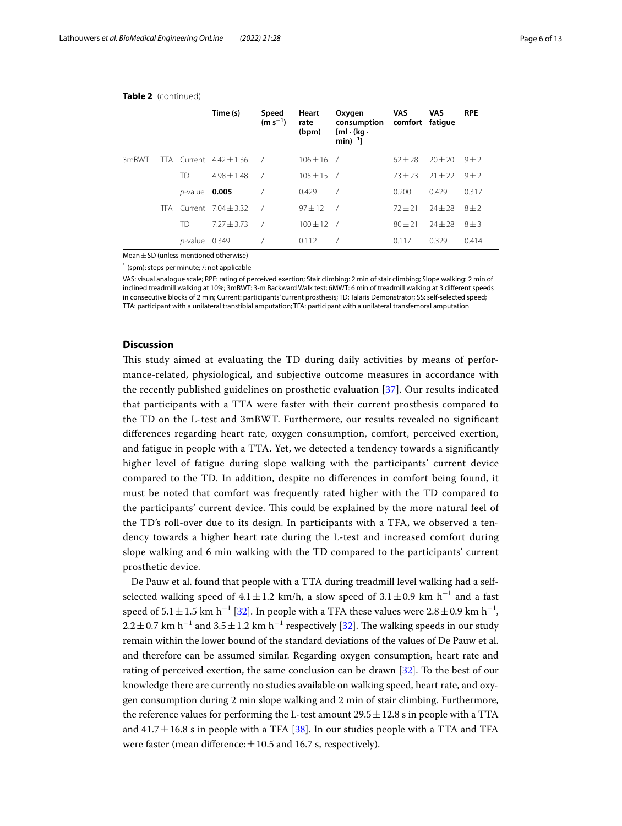|       |            |                  | Time (s)                    | Speed<br>$(m s^{-1})$ | Heart<br>rate<br>(bpm) | Oxygen<br>consumption<br>$[m] \cdot (kg \cdot$<br>$min)^{-1}$ ] | VAS<br>comfort fatigue | <b>VAS</b>  | <b>RPE</b> |
|-------|------------|------------------|-----------------------------|-----------------------|------------------------|-----------------------------------------------------------------|------------------------|-------------|------------|
| 3mBWT |            |                  | TTA Current $4.42 \pm 1.36$ |                       | $106 \pm 16$ /         |                                                                 | $62 + 28$              | $20 + 20$   | $9 + 2$    |
|       |            | TD               | $4.98 + 1.48$               |                       | $105 \pm 15$ /         |                                                                 | $73 + 23$              | $21 \pm 22$ | $9 + 2$    |
|       |            | $p$ -value 0.005 |                             |                       | 0.429                  | $\prime$                                                        | 0.200                  | 0.429       | 0.317      |
|       | <b>TFA</b> |                  | Current $7.04 + 3.32$       |                       | $97 \pm 12$            | $\sqrt{2}$                                                      | $72 + 21$              | $24 \pm 28$ | $8\pm2$    |
|       |            | TD               | $7.27 + 3.73$               |                       | $100 \pm 12$ /         |                                                                 | $80 + 21$              | $74 + 78$   | $8 + 3$    |
|       |            | $p$ -value 0.349 |                             |                       | 0.112                  |                                                                 | 0.117                  | 0.329       | 0.414      |

## **Table 2** (continued)

Mean $\pm$  SD (unless mentioned otherwise)

\* (spm): steps per minute; /: not applicable

VAS: visual analogue scale; RPE: rating of perceived exertion; Stair climbing: 2 min of stair climbing; Slope walking: 2 min of inclined treadmill walking at 10%; 3mBWT: 3-m Backward Walk test; 6MWT: 6 min of treadmill walking at 3 diferent speeds in consecutive blocks of 2 min; Current: participants' current prosthesis; TD: Talaris Demonstrator; SS: self-selected speed; TTA: participant with a unilateral transtibial amputation; TFA: participant with a unilateral transfemoral amputation

# **Discussion**

This study aimed at evaluating the TD during daily activities by means of performance-related, physiological, and subjective outcome measures in accordance with the recently published guidelines on prosthetic evaluation [[37](#page-12-8)]. Our results indicated that participants with a TTA were faster with their current prosthesis compared to the TD on the L-test and 3mBWT. Furthermore, our results revealed no signifcant diferences regarding heart rate, oxygen consumption, comfort, perceived exertion, and fatigue in people with a TTA. Yet, we detected a tendency towards a signifcantly higher level of fatigue during slope walking with the participants' current device compared to the TD. In addition, despite no diferences in comfort being found, it must be noted that comfort was frequently rated higher with the TD compared to the participants' current device. This could be explained by the more natural feel of the TD's roll-over due to its design. In participants with a TFA, we observed a tendency towards a higher heart rate during the L-test and increased comfort during slope walking and 6 min walking with the TD compared to the participants' current prosthetic device.

De Pauw et al. found that people with a TTA during treadmill level walking had a selfselected walking speed of  $4.1 \pm 1.2$  km/h, a slow speed of  $3.1 \pm 0.9$  km h<sup>-1</sup> and a fast speed of  $5.1 \pm 1.5$  km h<sup>-1</sup> [[32\]](#page-12-5). In people with a TFA these values were  $2.8 \pm 0.9$  km h<sup>-1</sup>,  $2.2 \pm 0.7$  km h<sup>-1</sup> and  $3.5 \pm 1.2$  km h<sup>-1</sup> respectively [\[32\]](#page-12-5). The walking speeds in our study remain within the lower bound of the standard deviations of the values of De Pauw et al. and therefore can be assumed similar. Regarding oxygen consumption, heart rate and rating of perceived exertion, the same conclusion can be drawn [\[32](#page-12-5)]. To the best of our knowledge there are currently no studies available on walking speed, heart rate, and oxygen consumption during 2 min slope walking and 2 min of stair climbing. Furthermore, the reference values for performing the L-test amount  $29.5 \pm 12.8$  s in people with a TTA and  $41.7 \pm 16.8$  s in people with a TFA [[38](#page-12-9)]. In our studies people with a TTA and TFA were faster (mean difference:  $\pm 10.5$  and 16.7 s, respectively).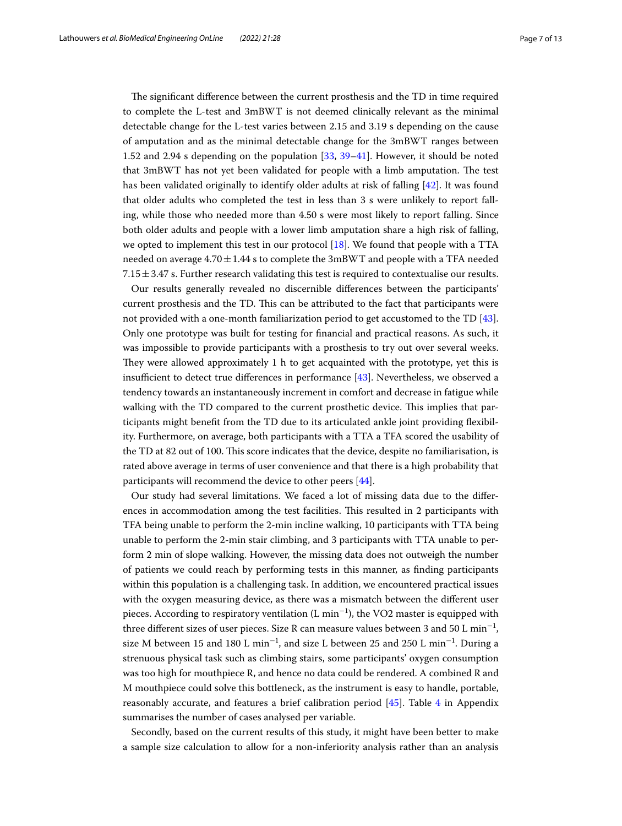The significant difference between the current prosthesis and the TD in time required to complete the L-test and 3mBWT is not deemed clinically relevant as the minimal detectable change for the L-test varies between 2.15 and 3.19 s depending on the cause of amputation and as the minimal detectable change for the 3mBWT ranges between 1.52 and 2.94 s depending on the population [\[33](#page-12-6), [39](#page-12-10)[–41](#page-12-11)]. However, it should be noted that 3mBWT has not yet been validated for people with a limb amputation. The test has been validated originally to identify older adults at risk of falling [[42](#page-12-12)]. It was found that older adults who completed the test in less than 3 s were unlikely to report falling, while those who needed more than 4.50 s were most likely to report falling. Since both older adults and people with a lower limb amputation share a high risk of falling, we opted to implement this test in our protocol  $[18]$  $[18]$  $[18]$ . We found that people with a TTA needed on average  $4.70 \pm 1.44$  s to complete the 3mBWT and people with a TFA needed  $7.15 \pm 3.47$  s. Further research validating this test is required to contextualise our results.

Our results generally revealed no discernible diferences between the participants' current prosthesis and the TD. Tis can be attributed to the fact that participants were not provided with a one-month familiarization period to get accustomed to the TD [\[43](#page-12-13)]. Only one prototype was built for testing for fnancial and practical reasons. As such, it was impossible to provide participants with a prosthesis to try out over several weeks. They were allowed approximately  $1$  h to get acquainted with the prototype, yet this is insufficient to detect true differences in performance  $[43]$  $[43]$ . Nevertheless, we observed a tendency towards an instantaneously increment in comfort and decrease in fatigue while walking with the TD compared to the current prosthetic device. This implies that participants might beneft from the TD due to its articulated ankle joint providing fexibility. Furthermore, on average, both participants with a TTA a TFA scored the usability of the TD at 82 out of 100. Tis score indicates that the device, despite no familiarisation, is rated above average in terms of user convenience and that there is a high probability that participants will recommend the device to other peers [[44\]](#page-12-14).

Our study had several limitations. We faced a lot of missing data due to the diferences in accommodation among the test facilities. Tis resulted in 2 participants with TFA being unable to perform the 2-min incline walking, 10 participants with TTA being unable to perform the 2-min stair climbing, and 3 participants with TTA unable to perform 2 min of slope walking. However, the missing data does not outweigh the number of patients we could reach by performing tests in this manner, as fnding participants within this population is a challenging task. In addition, we encountered practical issues with the oxygen measuring device, as there was a mismatch between the diferent user pieces. According to respiratory ventilation (L min $^{-1}$ ), the VO2 master is equipped with three different sizes of user pieces. Size R can measure values between 3 and 50 L  $\mathrm{min}^{-1}$ , size M between 15 and 180 L min<sup>−1</sup>, and size L between 25 and 250 L min<sup>−1</sup>. During a strenuous physical task such as climbing stairs, some participants' oxygen consumption was too high for mouthpiece R, and hence no data could be rendered. A combined R and M mouthpiece could solve this bottleneck, as the instrument is easy to handle, portable, reasonably accurate, and features a brief calibration period [\[45](#page-12-15)]. Table [4](#page-10-0) in Appendix summarises the number of cases analysed per variable.

Secondly, based on the current results of this study, it might have been better to make a sample size calculation to allow for a non-inferiority analysis rather than an analysis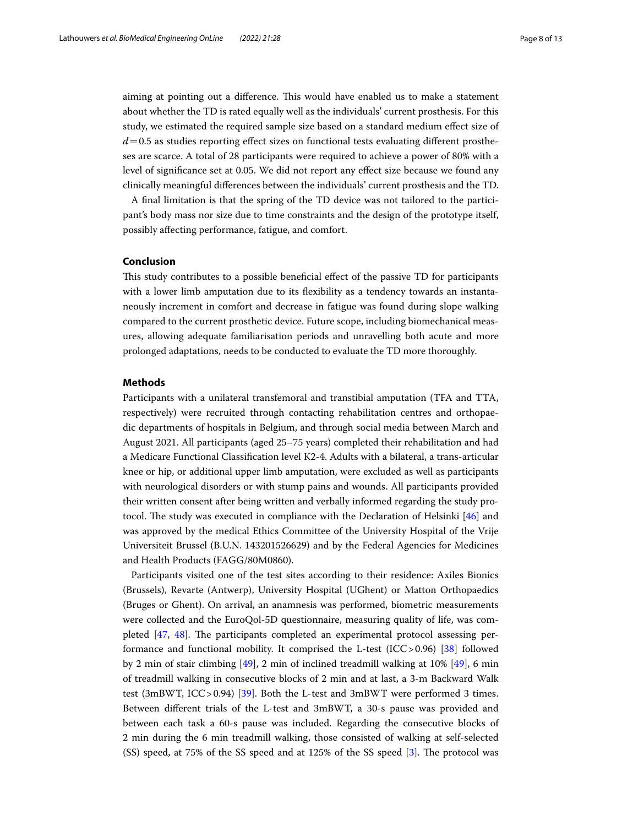aiming at pointing out a difference. This would have enabled us to make a statement about whether the TD is rated equally well as the individuals' current prosthesis. For this study, we estimated the required sample size based on a standard medium efect size of  $d=0.5$  as studies reporting effect sizes on functional tests evaluating different prostheses are scarce. A total of 28 participants were required to achieve a power of 80% with a level of signifcance set at 0.05. We did not report any efect size because we found any clinically meaningful diferences between the individuals' current prosthesis and the TD.

A fnal limitation is that the spring of the TD device was not tailored to the participant's body mass nor size due to time constraints and the design of the prototype itself, possibly afecting performance, fatigue, and comfort.

# **Conclusion**

This study contributes to a possible beneficial effect of the passive TD for participants with a lower limb amputation due to its fexibility as a tendency towards an instantaneously increment in comfort and decrease in fatigue was found during slope walking compared to the current prosthetic device. Future scope, including biomechanical measures, allowing adequate familiarisation periods and unravelling both acute and more prolonged adaptations, needs to be conducted to evaluate the TD more thoroughly.

# **Methods**

Participants with a unilateral transfemoral and transtibial amputation (TFA and TTA, respectively) were recruited through contacting rehabilitation centres and orthopaedic departments of hospitals in Belgium, and through social media between March and August 2021. All participants (aged 25–75 years) completed their rehabilitation and had a Medicare Functional Classifcation level K2-4. Adults with a bilateral, a trans-articular knee or hip, or additional upper limb amputation, were excluded as well as participants with neurological disorders or with stump pains and wounds. All participants provided their written consent after being written and verbally informed regarding the study protocol. The study was executed in compliance with the Declaration of Helsinki  $[46]$  $[46]$  and was approved by the medical Ethics Committee of the University Hospital of the Vrije Universiteit Brussel (B.U.N. 143201526629) and by the Federal Agencies for Medicines and Health Products (FAGG/80M0860).

Participants visited one of the test sites according to their residence: Axiles Bionics (Brussels), Revarte (Antwerp), University Hospital (UGhent) or Matton Orthopaedics (Bruges or Ghent). On arrival, an anamnesis was performed, biometric measurements were collected and the EuroQol-5D questionnaire, measuring quality of life, was completed  $[47, 48]$  $[47, 48]$  $[47, 48]$  $[47, 48]$ . The participants completed an experimental protocol assessing performance and functional mobility. It comprised the L-test (ICC>0.96) [\[38](#page-12-9)] followed by 2 min of stair climbing [\[49](#page-12-19)], 2 min of inclined treadmill walking at 10% [[49\]](#page-12-19), 6 min of treadmill walking in consecutive blocks of 2 min and at last, a 3-m Backward Walk test (3mBWT, ICC>0.94) [\[39\]](#page-12-10). Both the L-test and 3mBWT were performed 3 times. Between diferent trials of the L-test and 3mBWT, a 30-s pause was provided and between each task a 60-s pause was included. Regarding the consecutive blocks of 2 min during the 6 min treadmill walking, those consisted of walking at self-selected  $(SS)$  speed, at 75% of the SS speed and at 125% of the SS speed [[3\]](#page-11-2). The protocol was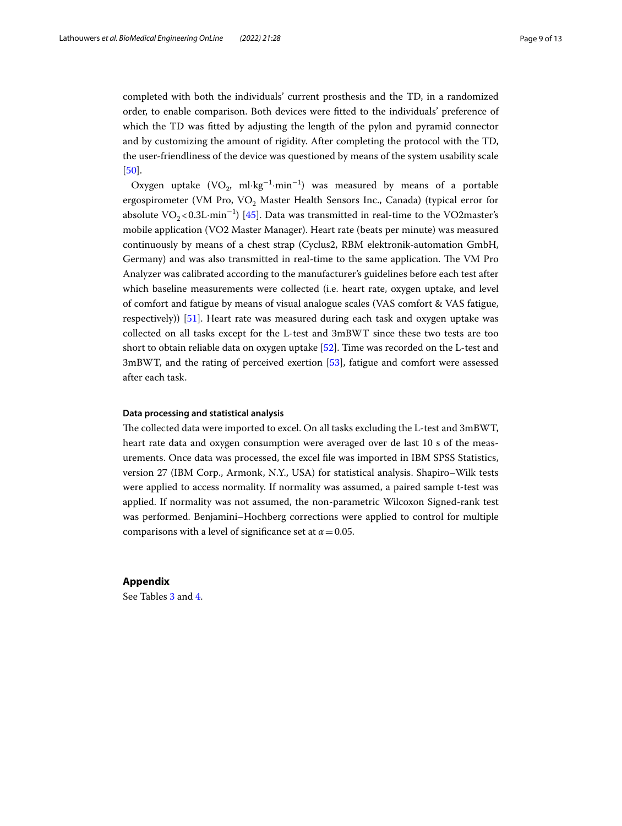completed with both the individuals' current prosthesis and the TD, in a randomized order, to enable comparison. Both devices were ftted to the individuals' preference of which the TD was ftted by adjusting the length of the pylon and pyramid connector and by customizing the amount of rigidity. After completing the protocol with the TD, the user-friendliness of the device was questioned by means of the system usability scale [[50\]](#page-12-20).

Oxygen uptake  $(VO_2, ml·kg^{-1}·min^{-1})$  was measured by means of a portable ergospirometer (VM Pro, VO<sub>2</sub> Master Health Sensors Inc., Canada) (typical error for absolute  $\text{VO}_2$ <0.3L·min<sup>-1</sup>) [\[45](#page-12-15)]. Data was transmitted in real-time to the VO2master's mobile application (VO2 Master Manager). Heart rate (beats per minute) was measured continuously by means of a chest strap (Cyclus2, RBM elektronik-automation GmbH, Germany) and was also transmitted in real-time to the same application. The VM Pro Analyzer was calibrated according to the manufacturer's guidelines before each test after which baseline measurements were collected (i.e. heart rate, oxygen uptake, and level of comfort and fatigue by means of visual analogue scales (VAS comfort & VAS fatigue, respectively)) [\[51\]](#page-12-21). Heart rate was measured during each task and oxygen uptake was collected on all tasks except for the L-test and 3mBWT since these two tests are too short to obtain reliable data on oxygen uptake [[52\]](#page-12-22). Time was recorded on the L-test and 3mBWT, and the rating of perceived exertion [[53](#page-12-23)], fatigue and comfort were assessed after each task.

## **Data processing and statistical analysis**

The collected data were imported to excel. On all tasks excluding the L-test and 3mBWT, heart rate data and oxygen consumption were averaged over de last 10 s of the measurements. Once data was processed, the excel fle was imported in IBM SPSS Statistics, version 27 (IBM Corp., Armonk, N.Y., USA) for statistical analysis. Shapiro–Wilk tests were applied to access normality. If normality was assumed, a paired sample t-test was applied. If normality was not assumed, the non-parametric Wilcoxon Signed-rank test was performed. Benjamini–Hochberg corrections were applied to control for multiple comparisons with a level of significance set at  $\alpha$  = 0.05.

# **Appendix**

See Tables [3](#page-9-0) and [4](#page-10-0).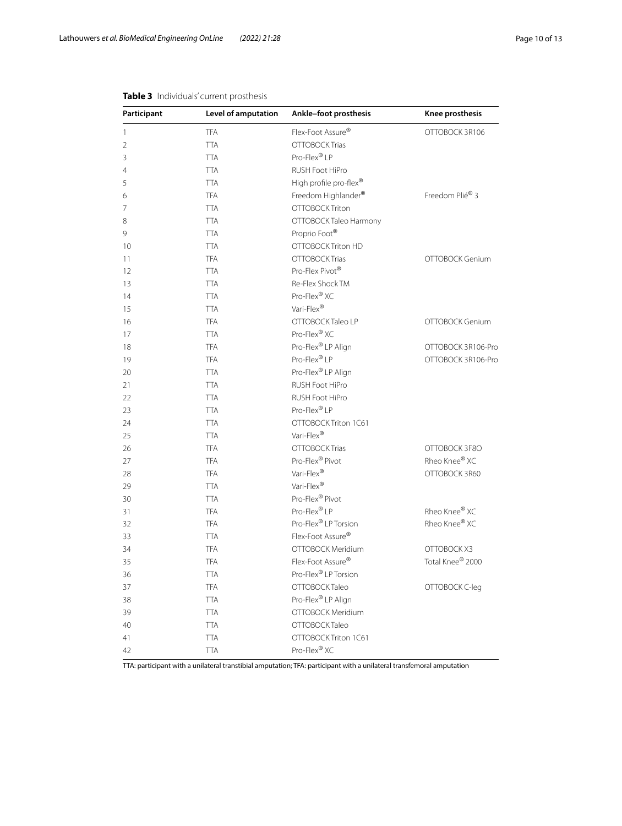| Participant    | Level of amputation | Ankle-foot prosthesis         | Knee prosthesis    |  |  |
|----------------|---------------------|-------------------------------|--------------------|--|--|
| $\mathbf{1}$   | <b>TFA</b>          | Flex-Foot Assure®             | OTTOBOCK 3R106     |  |  |
| $\overline{2}$ | <b>TTA</b>          | OTTOBOCK Trias                |                    |  |  |
| 3              | <b>TTA</b>          | Pro-Flex® LP                  |                    |  |  |
| 4              | <b>TTA</b>          | RUSH Foot HiPro               |                    |  |  |
| 5              | <b>TTA</b>          | High profile pro-flex®        |                    |  |  |
| 6              | <b>TFA</b>          | Freedom Highlander®           | Freedom Plié® 3    |  |  |
| 7              | <b>TTA</b>          | OTTOBOCK Triton               |                    |  |  |
| 8              | <b>TTA</b>          | OTTOBOCK Taleo Harmony        |                    |  |  |
| 9              | <b>TTA</b>          | Proprio Foot®                 |                    |  |  |
| 10             | <b>TTA</b>          | OTTOBOCK Triton HD            |                    |  |  |
| 11             | <b>TFA</b>          | OTTOBOCK Trias                | OTTOBOCK Genium    |  |  |
| 12             | <b>TTA</b>          | Pro-Flex Pivot®               |                    |  |  |
| 13             | <b>TTA</b>          | Re-Flex Shock TM              |                    |  |  |
| 14             | <b>TTA</b>          | Pro-Flex® XC                  |                    |  |  |
| 15             | <b>TTA</b>          | Vari-Flex®                    |                    |  |  |
| 16             | <b>TFA</b>          | OTTOBOCK Taleo LP             | OTTOBOCK Genium    |  |  |
| 17             | <b>TTA</b>          | Pro-Flex® XC                  |                    |  |  |
| 18             | <b>TFA</b>          | Pro-Flex® LP Align            | OTTOBOCK 3R106-Pro |  |  |
| 19             | <b>TFA</b>          | Pro-Flex® LP                  | OTTOBOCK 3R106-Pro |  |  |
| 20             | <b>TTA</b>          | Pro-Flex® LP Align            |                    |  |  |
| 21             | <b>TTA</b>          | RUSH Foot HiPro               |                    |  |  |
| 22             | <b>TTA</b>          | RUSH Foot HiPro               |                    |  |  |
| 23             | <b>TTA</b>          | Pro-Flex® LP                  |                    |  |  |
| 24             | <b>TTA</b>          | OTTOBOCK Triton 1C61          |                    |  |  |
| 25             | <b>TTA</b>          | Vari-Flex®                    |                    |  |  |
| 26             | <b>TFA</b>          | OTTOBOCK Trias                | OTTOBOCK 3F8O      |  |  |
| 27             | <b>TFA</b>          | Pro-Flex® Pivot               | Rheo Knee® XC      |  |  |
| 28             | <b>TFA</b>          | Vari-Flex®                    | OTTOBOCK 3R60      |  |  |
| 29             | <b>TTA</b>          | Vari-Flex®                    |                    |  |  |
| 30             | <b>TTA</b>          | Pro-Flex® Pivot               |                    |  |  |
| 31             | <b>TFA</b>          | Pro-Flex® LP                  | Rheo Knee® XC      |  |  |
| 32             | <b>TFA</b>          | Pro-Flex® LP Torsion          | Rheo Knee® XC      |  |  |
| 33             | <b>TTA</b>          | Flex-Foot Assure <sup>®</sup> |                    |  |  |
| 34             | <b>TFA</b>          | OTTOBOCK Meridium             | OTTOBOCK X3        |  |  |
| 35             | <b>TFA</b>          | Flex-Foot Assure <sup>®</sup> | Total Knee® 2000   |  |  |
| 36             | TTA                 | Pro-Flex® LP Torsion          |                    |  |  |
| 37             | <b>TFA</b>          | OTTOBOCK Taleo                | OTTOBOCK C-leg     |  |  |
| 38             | <b>TTA</b>          | Pro-Flex® LP Align            |                    |  |  |
| 39             | <b>TTA</b>          | OTTOBOCK Meridium             |                    |  |  |
| 40             | <b>TTA</b>          | OTTOBOCK Taleo                |                    |  |  |
| 41             | <b>TTA</b>          | OTTOBOCK Triton 1C61          |                    |  |  |
| 42             | <b>TTA</b>          | Pro-Flex® XC                  |                    |  |  |
|                |                     |                               |                    |  |  |

# <span id="page-9-0"></span>**Table 3** Individuals' current prosthesis

TTA: participant with a unilateral transtibial amputation; TFA: participant with a unilateral transfemoral amputation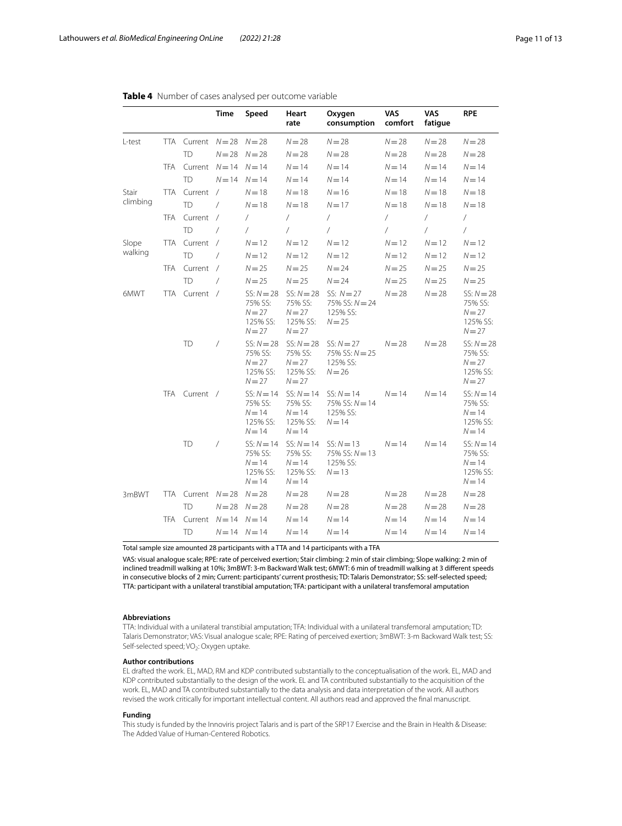|          |            |                    | <b>Time</b> | Speed                                                       | Heart<br>rate                                               | Oxygen<br>consumption                                       | <b>VAS</b><br>comfort | <b>VAS</b><br>fatigue | <b>RPE</b>                                                  |
|----------|------------|--------------------|-------------|-------------------------------------------------------------|-------------------------------------------------------------|-------------------------------------------------------------|-----------------------|-----------------------|-------------------------------------------------------------|
| L-test   | TTA        | Current $N=28$     |             | $N = 28$                                                    | $N = 28$                                                    | $N = 28$                                                    | $N = 28$              | $N = 28$              | $N = 28$                                                    |
|          |            | <b>TD</b>          | $N = 28$    | $N = 28$                                                    | $N = 28$                                                    | $N = 28$                                                    | $N = 28$              | $N = 28$              | $N = 28$                                                    |
|          | <b>TFA</b> | Current $N=14$     |             | $N = 14$                                                    | $N = 14$                                                    | $N = 14$                                                    | $N = 14$              | $N = 14$              | $N = 14$                                                    |
|          |            | <b>TD</b>          | $N = 14$    | $N = 14$                                                    | $N = 14$                                                    | $N = 14$                                                    | $N = 14$              | $N = 14$              | $N = 14$                                                    |
| Stair    | <b>TTA</b> | Current /          |             | $N = 18$                                                    | $N=18$                                                      | $N = 16$                                                    | $N = 18$              | $N=18$                | $N = 18$                                                    |
| climbing |            | <b>TD</b>          | $\prime$    | $N = 18$                                                    | $N = 18$                                                    | $N = 17$                                                    | $N = 18$              | $N=18$                | $N = 18$                                                    |
|          | <b>TFA</b> | Current            | $\sqrt{2}$  | 7                                                           | $\sqrt{2}$                                                  | $\sqrt{2}$                                                  | $\sqrt{2}$            | $\sqrt{2}$            | $\sqrt{2}$                                                  |
|          |            | <b>TD</b>          | $\sqrt{2}$  | $\sqrt{2}$                                                  | $\prime$                                                    | 7                                                           | $\sqrt{2}$            | $\prime$              | $\sqrt{2}$                                                  |
| Slope    |            | TTA Current        | $\sqrt{ }$  | $N = 12$                                                    | $N = 12$                                                    | $N = 12$                                                    | $N = 12$              | $N = 12$              | $N = 12$                                                    |
| walking  |            | <b>TD</b>          | $\sqrt{2}$  | $N = 12$                                                    | $N = 12$                                                    | $N = 12$                                                    | $N = 12$              | $N=12$                | $N = 12$                                                    |
|          | <b>TFA</b> | Current            | $\prime$    | $N = 25$                                                    | $N = 25$                                                    | $N = 24$                                                    | $N = 25$              | $N = 25$              | $N = 25$                                                    |
|          |            | <b>TD</b>          | $\prime$    | $N = 25$                                                    | $N = 25$                                                    | $N = 24$                                                    | $N = 25$              | $N = 25$              | $N = 25$                                                    |
| 6MWT     | <b>TTA</b> | Current /          |             | $SS: N = 28$<br>75% SS:<br>$N = 27$<br>125% SS:<br>$N = 27$ | $SS: N = 28$<br>75% SS:<br>$N = 27$<br>125% SS:<br>$N = 27$ | SS: $N = 27$<br>75% SS: $N = 24$<br>125% SS:<br>$N = 25$    | $N = 28$              | $N = 28$              | $SS: N = 28$<br>75% SS:<br>$N = 27$<br>125% SS:<br>$N = 27$ |
|          |            | TD                 | $\sqrt{2}$  | $SS: N = 28$<br>75% SS:<br>$N = 27$<br>125% SS:<br>$N = 27$ | $SS: N = 28$<br>75% SS:<br>$N = 27$<br>125% SS:<br>$N = 27$ | $SS: N = 27$<br>75% SS: $N = 25$<br>125% SS:<br>$N = 26$    | $N = 28$              | $N = 28$              | $SS: N = 28$<br>75% SS:<br>$N = 27$<br>125% SS:<br>$N = 27$ |
|          |            | TFA Current /      |             | $SS: N = 14$<br>75% SS:<br>$N = 14$<br>125% SS:<br>$N = 14$ | $SS: N = 14$<br>75% SS:<br>$N = 14$<br>125% SS:<br>$N = 14$ | $SS: N = 14$<br>75% SS: $N = 14$<br>125% SS:<br>$N = 14$    | $N = 14$              | $N = 14$              | $SS: N = 14$<br>75% SS:<br>$N = 14$<br>125% SS:<br>$N = 14$ |
|          |            | <b>TD</b>          | $\sqrt{2}$  | $SS: N = 14$<br>75% SS:<br>$N = 14$<br>125% SS:<br>$N = 14$ | $SS: N = 14$<br>75% SS:<br>$N = 14$<br>125% SS:<br>$N = 14$ | $SS: N = 13$<br>$75\%$ SS: $N = 13$<br>125% SS:<br>$N = 13$ | $N = 14$              | $N = 14$              | $SS: N = 14$<br>75% SS:<br>$N = 14$<br>125% SS:<br>$N = 14$ |
| 3mBWT    |            | TTA Current $N=28$ |             | $N = 28$                                                    | $N = 28$                                                    | $N = 28$                                                    | $N = 28$              | $N = 28$              | $N = 28$                                                    |
|          |            | <b>TD</b>          | $N = 28$    | $N = 28$                                                    | $N = 28$                                                    | $N = 28$                                                    | $N = 28$              | $N = 28$              | $N = 28$                                                    |
|          | <b>TFA</b> | Current $N=14$     |             | $N = 14$                                                    | $N = 14$                                                    | $N = 14$                                                    | $N = 14$              | $N = 14$              | $N = 14$                                                    |
|          |            | <b>TD</b>          |             | $N = 14$ $N = 14$                                           | $N = 14$                                                    | $N = 14$                                                    | $N = 14$              | $N = 14$              | $N = 14$                                                    |

# <span id="page-10-0"></span>**Table 4** Number of cases analysed per outcome variable

Total sample size amounted 28 participants with a TTA and 14 participants with a TFA

VAS: visual analogue scale; RPE: rate of perceived exertion; Stair climbing: 2 min of stair climbing; Slope walking: 2 min of inclined treadmill walking at 10%; 3mBWT: 3-m Backward Walk test; 6MWT: 6 min of treadmill walking at 3 diferent speeds in consecutive blocks of 2 min; Current: participants' current prosthesis; TD: Talaris Demonstrator; SS: self-selected speed; TTA: participant with a unilateral transtibial amputation; TFA: participant with a unilateral transfemoral amputation

### **Abbreviations**

TTA: Individual with a unilateral transtibial amputation; TFA: Individual with a unilateral transfemoral amputation; TD: Talaris Demonstrator; VAS: Visual analogue scale; RPE: Rating of perceived exertion; 3mBWT: 3-m Backward Walk test; SS: Self-selected speed; VO<sub>2</sub>: Oxygen uptake.

## **Author contributions**

EL drafted the work. EL, MAD, RM and KDP contributed substantially to the conceptualisation of the work. EL, MAD and KDP contributed substantially to the design of the work. EL and TA contributed substantially to the acquisition of the work. EL, MAD and TA contributed substantially to the data analysis and data interpretation of the work. All authors revised the work critically for important intellectual content. All authors read and approved the fnal manuscript.

# **Funding**

This study is funded by the Innoviris project Talaris and is part of the SRP17 Exercise and the Brain in Health & Disease: The Added Value of Human-Centered Robotics.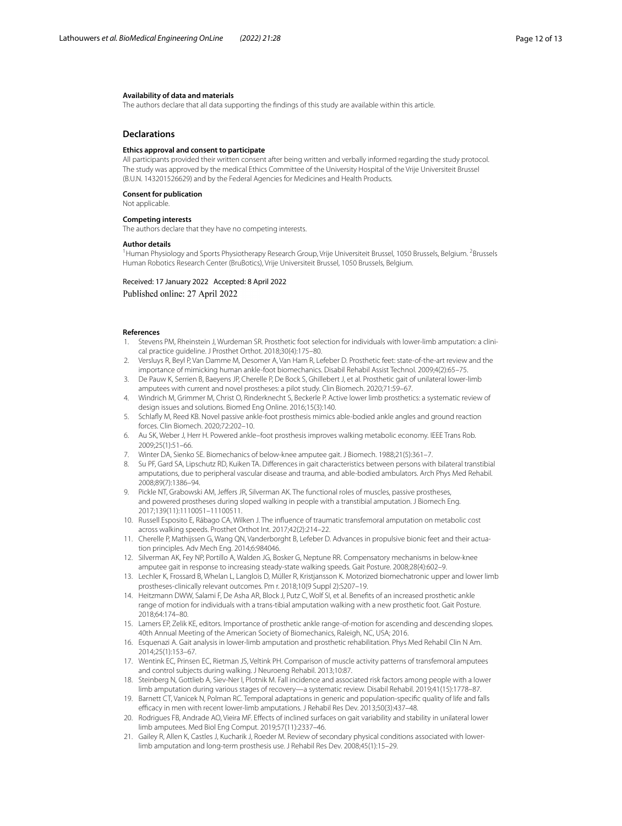## **Availability of data and materials**

The authors declare that all data supporting the fndings of this study are available within this article.

## **Declarations**

## **Ethics approval and consent to participate**

All participants provided their written consent after being written and verbally informed regarding the study protocol. The study was approved by the medical Ethics Committee of the University Hospital of the Vrije Universiteit Brussel (B.U.N. 143201526629) and by the Federal Agencies for Medicines and Health Products.

#### **Consent for publication**

# Not applicable.

#### **Competing interests**

The authors declare that they have no competing interests.

## **Author details**

<sup>1</sup> Human Physiology and Sports Physiotherapy Research Group, Vrije Universiteit Brussel, 1050 Brussels, Belgium. <sup>2</sup>Brussels Human Robotics Research Center (BruBotics), Vrije Universiteit Brussel, 1050 Brussels, Belgium.

Received: 17 January 2022 Accepted: 8 April 2022 Published online: 27 April 2022

### **References**

- <span id="page-11-0"></span>1. Stevens PM, Rheinstein J, Wurdeman SR. Prosthetic foot selection for individuals with lower-limb amputation: a clinical practice guideline. J Prosthet Orthot. 2018;30(4):175–80.
- <span id="page-11-1"></span>2. Versluys R, Beyl P, Van Damme M, Desomer A, Van Ham R, Lefeber D. Prosthetic feet: state-of-the-art review and the importance of mimicking human ankle-foot biomechanics. Disabil Rehabil Assist Technol. 2009;4(2):65–75.
- <span id="page-11-2"></span>De Pauw K, Serrien B, Baeyens JP, Cherelle P, De Bock S, Ghillebert J, et al. Prosthetic gait of unilateral lower-limb amputees with current and novel prostheses: a pilot study. Clin Biomech. 2020;71:59–67.
- <span id="page-11-3"></span>4. Windrich M, Grimmer M, Christ O, Rinderknecht S, Beckerle P. Active lower limb prosthetics: a systematic review of design issues and solutions. Biomed Eng Online. 2016;15(3):140.
- <span id="page-11-4"></span>5. Schlafy M, Reed KB. Novel passive ankle-foot prosthesis mimics able-bodied ankle angles and ground reaction forces. Clin Biomech. 2020;72:202–10.
- <span id="page-11-5"></span>6. Au SK, Weber J, Herr H. Powered ankle–foot prosthesis improves walking metabolic economy. IEEE Trans Rob. 2009;25(1):51–66.
- <span id="page-11-6"></span>7. Winter DA, Sienko SE. Biomechanics of below-knee amputee gait. J Biomech. 1988;21(5):361–7.
- <span id="page-11-7"></span>8. Su PF, Gard SA, Lipschutz RD, Kuiken TA. Diferences in gait characteristics between persons with bilateral transtibial amputations, due to peripheral vascular disease and trauma, and able-bodied ambulators. Arch Phys Med Rehabil. 2008;89(7):1386–94.
- 9. Pickle NT, Grabowski AM, Jefers JR, Silverman AK. The functional roles of muscles, passive prostheses, and powered prostheses during sloped walking in people with a transtibial amputation. J Biomech Eng. 2017;139(11):1110051–11100511.
- <span id="page-11-8"></span>10. Russell Esposito E, Rábago CA, Wilken J. The infuence of traumatic transfemoral amputation on metabolic cost across walking speeds. Prosthet Orthot Int. 2017;42(2):214–22.
- <span id="page-11-9"></span>11. Cherelle P, Mathijssen G, Wang QN, Vanderborght B, Lefeber D. Advances in propulsive bionic feet and their actuation principles. Adv Mech Eng. 2014;6:984046.
- <span id="page-11-10"></span>12. Silverman AK, Fey NP, Portillo A, Walden JG, Bosker G, Neptune RR. Compensatory mechanisms in below-knee amputee gait in response to increasing steady-state walking speeds. Gait Posture. 2008;28(4):602–9.
- <span id="page-11-11"></span>13. Lechler K, Frossard B, Whelan L, Langlois D, Müller R, Kristjansson K. Motorized biomechatronic upper and lower limb prostheses-clinically relevant outcomes. Pm r. 2018;10(9 Suppl 2):S207–19.
- <span id="page-11-12"></span>14. Heitzmann DWW, Salami F, De Asha AR, Block J, Putz C, Wolf SI, et al. Benefts of an increased prosthetic ankle range of motion for individuals with a trans-tibial amputation walking with a new prosthetic foot. Gait Posture. 2018;64:174–80.
- <span id="page-11-13"></span>15. Lamers EP, Zelik KE, editors. Importance of prosthetic ankle range-of-motion for ascending and descending slopes. 40th Annual Meeting of the American Society of Biomechanics, Raleigh, NC, USA; 2016.
- <span id="page-11-14"></span>16. Esquenazi A. Gait analysis in lower-limb amputation and prosthetic rehabilitation. Phys Med Rehabil Clin N Am. 2014;25(1):153–67.
- <span id="page-11-15"></span>17. Wentink EC, Prinsen EC, Rietman JS, Veltink PH. Comparison of muscle activity patterns of transfemoral amputees and control subjects during walking. J Neuroeng Rehabil. 2013;10:87.
- <span id="page-11-16"></span>18. Steinberg N, Gottlieb A, Siev-Ner I, Plotnik M. Fall incidence and associated risk factors among people with a lower limb amputation during various stages of recovery—a systematic review. Disabil Rehabil. 2019;41(15):1778–87.
- 19. Barnett CT, Vanicek N, Polman RC. Temporal adaptations in generic and population-specifc quality of life and falls efcacy in men with recent lower-limb amputations. J Rehabil Res Dev. 2013;50(3):437–48.
- <span id="page-11-17"></span>20. Rodrigues FB, Andrade AO, Vieira MF. Efects of inclined surfaces on gait variability and stability in unilateral lower limb amputees. Med Biol Eng Comput. 2019;57(11):2337–46.
- <span id="page-11-18"></span>21. Gailey R, Allen K, Castles J, Kucharik J, Roeder M. Review of secondary physical conditions associated with lowerlimb amputation and long-term prosthesis use. J Rehabil Res Dev. 2008;45(1):15–29.